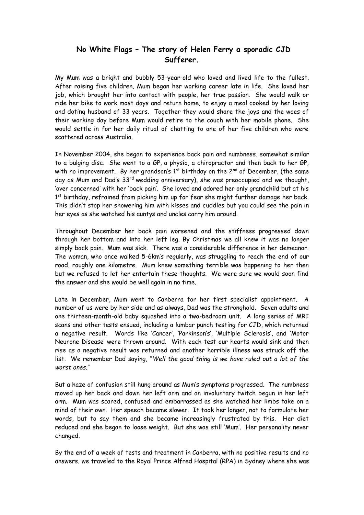## **No White Flags – The story of Helen Ferry a sporadic CJD Sufferer.**

My Mum was a bright and bubbly 53-year-old who loved and lived life to the fullest. After raising five children, Mum began her working career late in life. She loved her job, which brought her into contact with people, her true passion. She would walk or ride her bike to work most days and return home, to enjoy a meal cooked by her loving and doting husband of 33 years. Together they would share the joys and the woes of their working day before Mum would retire to the couch with her mobile phone. She would settle in for her daily ritual of chatting to one of her five children who were scattered across Australia.

In November 2004, she began to experience back pain and numbness, somewhat similar to a bulging disc. She went to a GP, a physio, a chiropractor and then back to her GP, with no improvement. By her grandson's  $1<sup>st</sup>$  birthday on the  $2<sup>nd</sup>$  of December, (the same day as Mum and Dad's 33<sup>rd</sup> wedding anniversary), she was preoccupied and we thought, 'over concerned' with her 'back pain'. She loved and adored her only grandchild but at his 1<sup>st</sup> birthday, refrained from picking him up for fear she might further damage her back. This didn't stop her showering him with kisses and cuddles but you could see the pain in her eyes as she watched his auntys and uncles carry him around.

Throughout December her back pain worsened and the stiffness progressed down through her bottom and into her left leg. By Christmas we all knew it was no longer simply back pain. Mum was sick. There was a considerable difference in her demeanor. The woman, who once walked 5-6km's regularly, was struggling to reach the end of our road, roughly one kilometre. Mum knew something terrible was happening to her then but we refused to let her entertain these thoughts. We were sure we would soon find the answer and she would be well again in no time.

Late in December, Mum went to Canberra for her first specialist appointment. A number of us were by her side and as always, Dad was the stronghold. Seven adults and one thirteen-month-old baby squashed into a two-bedroom unit. A long series of MRI scans and other tests ensued, including a lumbar punch testing for CJD, which returned a negative result. Words like 'Cancer', 'Parkinson's', 'Multiple Sclerosis', and 'Motor Neurone Disease' were thrown around. With each test our hearts would sink and then rise as a negative result was returned and another horrible illness was struck off the list. We remember Dad saying, "*Well the good thing is we have ruled out a lot of the worst ones*."

But a haze of confusion still hung around as Mum's symptoms progressed. The numbness moved up her back and down her left arm and an involuntary twitch begun in her left arm. Mum was scared, confused and embarrassed as she watched her limbs take on a mind of their own. Her speech became slower. It took her longer, not to formulate her words, but to say them and she became increasingly frustrated by this. Her diet reduced and she began to loose weight. But she was still 'Mum'. Her personality never changed.

By the end of a week of tests and treatment in Canberra, with no positive results and no answers, we traveled to the Royal Prince Alfred Hospital (RPA) in Sydney where she was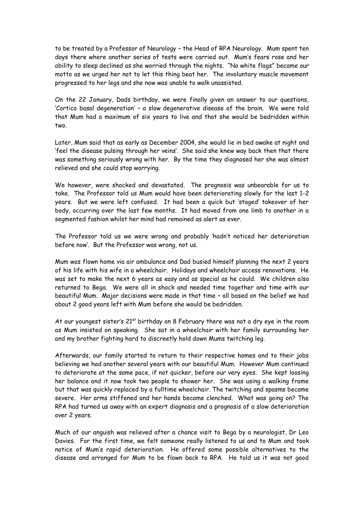to be treated by a Professor of Neurology – the Head of RPA Neurology. Mum spent ten days there where another series of tests were carried out. Mum's fears rose and her ability to sleep declined as she worried through the nights. "No white flags" became our motto as we urged her not to let this thing beat her. The involuntary muscle movement progressed to her legs and she now was unable to walk unassisted.

On the 22 January, Dads birthday, we were finally given an answer to our questions, 'Cortico basal degeneration' – a slow degenerative disease of the brain. We were told that Mum had a maximum of six years to live and that she would be bedridden within two.

Later, Mum said that as early as December 2004, she would lie in bed awake at night and 'feel the disease pulsing through her veins'. She said she knew way back then that there was something seriously wrong with her. By the time they diagnosed her she was almost relieved and she could stop worrying.

We however, were shocked and devastated. The prognosis was unbearable for us to take. The Professor told us Mum would have been deteriorating slowly for the last 1-2 years. But we were left confused. It had been a quick but 'staged' takeover of her body, occurring over the last few months. It had moved from one limb to another in a segmented fashion whilst her mind had remained as alert as ever.

The Professor told us we were wrong and probably 'hadn't noticed her deterioration before now'. But the Professor was wrong, not us.

Mum was flown home via air ambulance and Dad busied himself planning the next 2 years of his life with his wife in a wheelchair. Holidays and wheelchair access renovations. He was set to make the next 6 years as easy and as special as he could. We children also returned to Bega. We were all in shock and needed time together and time with our beautiful Mum. Major decisions were made in that time – all based on the belief we had about 2 good years left with Mum before she would be bedridden.

At our youngest sister's  $21<sup>st</sup>$  birthday on 8 February there was not a dry eye in the room as Mum insisted on speaking. She sat in a wheelchair with her family surrounding her and my brother fighting hard to discreetly hold down Mums twitching leg.

Afterwards, our family started to return to their respective homes and to their jobs believing we had another several years with our beautiful Mum. However Mum continued to deteriorate at the same pace, if not quicker, before our very eyes. She kept loosing her balance and it now took two people to shower her. She was using a walking frame but that was quickly replaced by a fulltime wheelchair. The twitching and spasms became severe. Her arms stiffened and her hands became clenched. What was going on? The RPA had turned us away with an expert diagnosis and a prognosis of a slow deterioration over 2 years.

Much of our anguish was relieved after a chance visit to Bega by a neurologist, Dr Leo Davies. For the first time, we felt someone really listened to us and to Mum and took notice of Mum's rapid deterioration. He offered some possible alternatives to the disease and arranged for Mum to be flown back to RPA. He told us it was not good